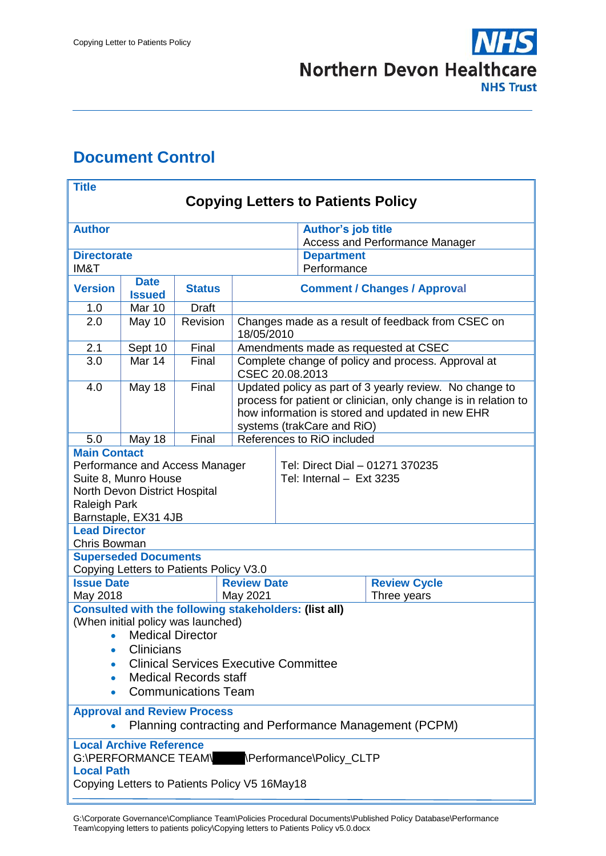

# <span id="page-0-0"></span>**Document Control**

| <b>Title</b>                                                                                                                                                                                                                                         |                             |               |                                                                                                                                                                                                              |                                                                       |                                                                    |             |  |
|------------------------------------------------------------------------------------------------------------------------------------------------------------------------------------------------------------------------------------------------------|-----------------------------|---------------|--------------------------------------------------------------------------------------------------------------------------------------------------------------------------------------------------------------|-----------------------------------------------------------------------|--------------------------------------------------------------------|-------------|--|
| <b>Copying Letters to Patients Policy</b>                                                                                                                                                                                                            |                             |               |                                                                                                                                                                                                              |                                                                       |                                                                    |             |  |
| <b>Author</b>                                                                                                                                                                                                                                        |                             |               |                                                                                                                                                                                                              |                                                                       | <b>Author's job title</b><br><b>Access and Performance Manager</b> |             |  |
| <b>Directorate</b>                                                                                                                                                                                                                                   |                             |               |                                                                                                                                                                                                              |                                                                       | <b>Department</b><br>Performance                                   |             |  |
| IM&T<br><b>Date</b>                                                                                                                                                                                                                                  |                             |               |                                                                                                                                                                                                              |                                                                       |                                                                    |             |  |
| <b>Version</b>                                                                                                                                                                                                                                       | <b>Issued</b>               | <b>Status</b> | <b>Comment / Changes / Approval</b>                                                                                                                                                                          |                                                                       |                                                                    |             |  |
| 1.0                                                                                                                                                                                                                                                  | Mar 10                      | <b>Draft</b>  |                                                                                                                                                                                                              |                                                                       |                                                                    |             |  |
| 2.0                                                                                                                                                                                                                                                  | May 10                      | Revision      | Changes made as a result of feedback from CSEC on<br>18/05/2010                                                                                                                                              |                                                                       |                                                                    |             |  |
| 2.1                                                                                                                                                                                                                                                  | Sept 10                     | Final         |                                                                                                                                                                                                              | Amendments made as requested at CSEC                                  |                                                                    |             |  |
| 3.0                                                                                                                                                                                                                                                  | Mar 14                      | Final         |                                                                                                                                                                                                              | Complete change of policy and process. Approval at<br>CSEC 20.08.2013 |                                                                    |             |  |
| 4.0                                                                                                                                                                                                                                                  | May 18                      | Final         | Updated policy as part of 3 yearly review. No change to<br>process for patient or clinician, only change is in relation to<br>how information is stored and updated in new EHR<br>systems (trakCare and RiO) |                                                                       |                                                                    |             |  |
| 5.0                                                                                                                                                                                                                                                  | May 18                      | Final         |                                                                                                                                                                                                              |                                                                       | References to RiO included                                         |             |  |
| <b>Main Contact</b><br>Performance and Access Manager<br>Suite 8, Munro House<br>North Devon District Hospital<br><b>Raleigh Park</b><br>Barnstaple, EX31 4JB                                                                                        |                             |               |                                                                                                                                                                                                              | Tel: Direct Dial - 01271 370235<br>Tel: Internal - Ext 3235           |                                                                    |             |  |
| <b>Lead Director</b><br>Chris Bowman                                                                                                                                                                                                                 |                             |               |                                                                                                                                                                                                              |                                                                       |                                                                    |             |  |
|                                                                                                                                                                                                                                                      | <b>Superseded Documents</b> |               |                                                                                                                                                                                                              |                                                                       |                                                                    |             |  |
|                                                                                                                                                                                                                                                      |                             |               |                                                                                                                                                                                                              |                                                                       |                                                                    |             |  |
| Copying Letters to Patients Policy V3.0<br><b>Issue Date</b><br><b>Review Date</b>                                                                                                                                                                   |                             |               |                                                                                                                                                                                                              |                                                                       | <b>Review Cycle</b>                                                |             |  |
| May 2018                                                                                                                                                                                                                                             |                             |               | May 2021                                                                                                                                                                                                     |                                                                       |                                                                    | Three years |  |
| <b>Consulted with the following stakeholders: (list all)</b><br>(When initial policy was launched)<br>• Medical Director<br>Clinicians<br><b>Clinical Services Executive Committee</b><br><b>Medical Records staff</b><br><b>Communications Team</b> |                             |               |                                                                                                                                                                                                              |                                                                       |                                                                    |             |  |
| <b>Approval and Review Process</b><br>Planning contracting and Performance Management (PCPM)<br>$\bullet$                                                                                                                                            |                             |               |                                                                                                                                                                                                              |                                                                       |                                                                    |             |  |
| <b>Local Archive Reference</b><br>G:\PERFORMANCE TEAM\ \Performance\Policy CLTP<br><b>Local Path</b><br>Copying Letters to Patients Policy V5 16May18                                                                                                |                             |               |                                                                                                                                                                                                              |                                                                       |                                                                    |             |  |

G:\Corporate Governance\Compliance Team\Policies Procedural Documents\Published Policy Database\Performance Team\copying letters to patients policy\Copying letters to Patients Policy v5.0.docx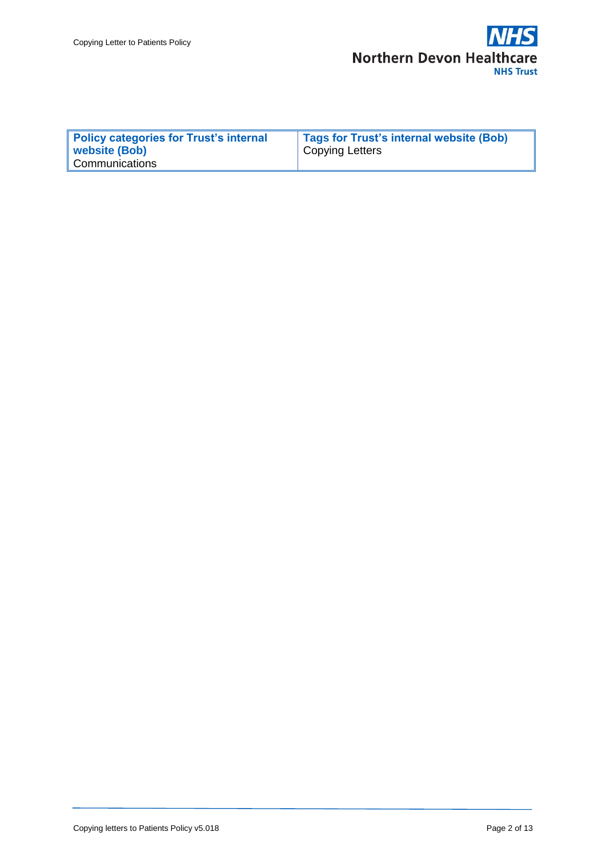

| <b>Policy categories for Trust's internal</b> | Tags for Trust's internal website (Bob) |
|-----------------------------------------------|-----------------------------------------|
| website (Bob)                                 | <b>Copying Letters</b>                  |
| Communications                                |                                         |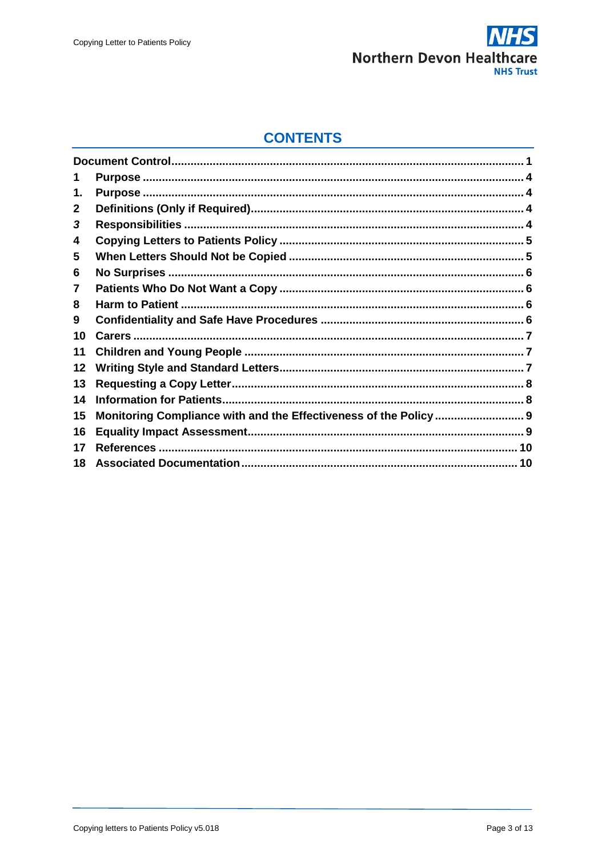

### **CONTENTS**

| 1  |  |
|----|--|
| 1. |  |
| 2  |  |
| 3  |  |
| 4  |  |
| 5  |  |
| 6  |  |
| 7  |  |
| 8  |  |
| 9  |  |
| 10 |  |
| 11 |  |
| 12 |  |
| 13 |  |
| 14 |  |
| 15 |  |
| 16 |  |
| 17 |  |
| 18 |  |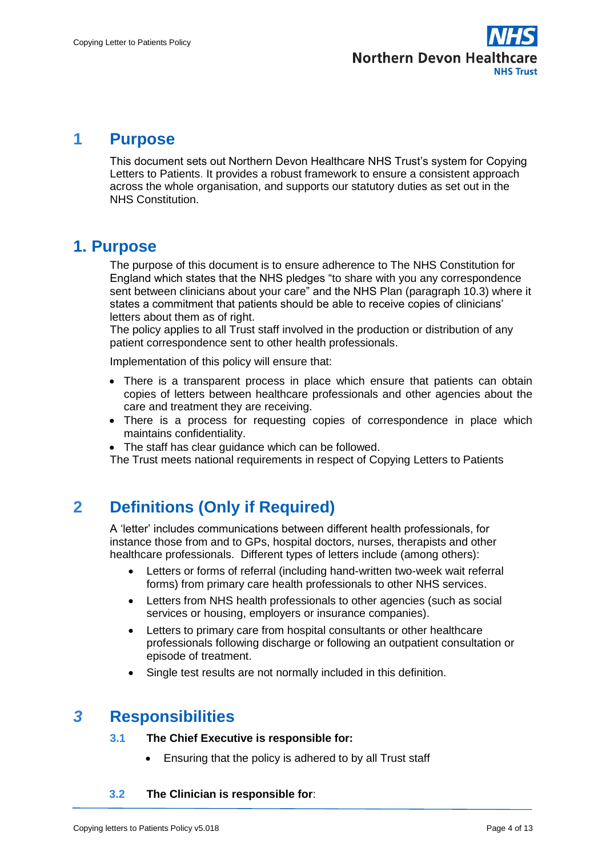

#### <span id="page-3-0"></span>**1 Purpose**

This document sets out Northern Devon Healthcare NHS Trust's system for Copying Letters to Patients. It provides a robust framework to ensure a consistent approach across the whole organisation, and supports our statutory duties as set out in the NHS Constitution.

### <span id="page-3-1"></span>**1. Purpose**

The purpose of this document is to ensure adherence to The NHS Constitution for England which states that the NHS pledges "to share with you any correspondence sent between clinicians about your care" and the NHS Plan (paragraph 10.3) where it states a commitment that patients should be able to receive copies of clinicians' letters about them as of right.

The policy applies to all Trust staff involved in the production or distribution of any patient correspondence sent to other health professionals.

Implementation of this policy will ensure that:

- There is a transparent process in place which ensure that patients can obtain copies of letters between healthcare professionals and other agencies about the care and treatment they are receiving.
- There is a process for requesting copies of correspondence in place which maintains confidentiality.
- The staff has clear guidance which can be followed.

The Trust meets national requirements in respect of Copying Letters to Patients

# <span id="page-3-2"></span>**2 Definitions (Only if Required)**

A 'letter' includes communications between different health professionals, for instance those from and to GPs, hospital doctors, nurses, therapists and other healthcare professionals. Different types of letters include (among others):

- Letters or forms of referral (including hand-written two-week wait referral forms) from primary care health professionals to other NHS services.
- Letters from NHS health professionals to other agencies (such as social services or housing, employers or insurance companies).
- Letters to primary care from hospital consultants or other healthcare professionals following discharge or following an outpatient consultation or episode of treatment.
- Single test results are not normally included in this definition.

### <span id="page-3-3"></span>*3* **Responsibilities**

#### **3.1 The Chief Executive is responsible for:**

Ensuring that the policy is adhered to by all Trust staff

#### **3.2 The Clinician is responsible for**: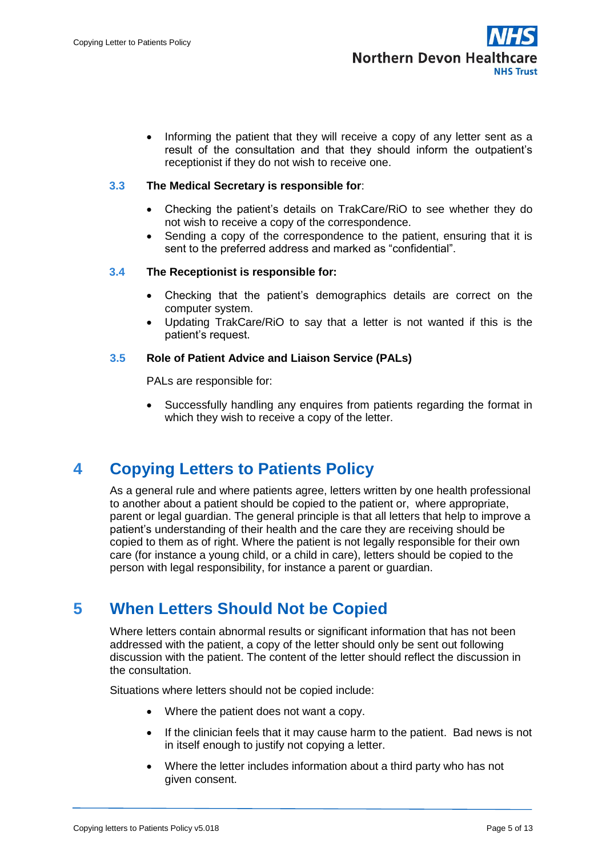

• Informing the patient that they will receive a copy of any letter sent as a result of the consultation and that they should inform the outpatient's receptionist if they do not wish to receive one.

#### **3.3 The Medical Secretary is responsible for**:

- Checking the patient's details on TrakCare/RiO to see whether they do not wish to receive a copy of the correspondence.
- Sending a copy of the correspondence to the patient, ensuring that it is sent to the preferred address and marked as "confidential".

#### **3.4 The Receptionist is responsible for:**

- Checking that the patient's demographics details are correct on the computer system.
- Updating TrakCare/RiO to say that a letter is not wanted if this is the patient's request.

#### **3.5 Role of Patient Advice and Liaison Service (PALs)**

PALs are responsible for:

 Successfully handling any enquires from patients regarding the format in which they wish to receive a copy of the letter.

# <span id="page-4-0"></span>**4 Copying Letters to Patients Policy**

As a general rule and where patients agree, letters written by one health professional to another about a patient should be copied to the patient or, where appropriate, parent or legal guardian. The general principle is that all letters that help to improve a patient's understanding of their health and the care they are receiving should be copied to them as of right. Where the patient is not legally responsible for their own care (for instance a young child, or a child in care), letters should be copied to the person with legal responsibility, for instance a parent or guardian.

### <span id="page-4-1"></span>**5 When Letters Should Not be Copied**

Where letters contain abnormal results or significant information that has not been addressed with the patient, a copy of the letter should only be sent out following discussion with the patient. The content of the letter should reflect the discussion in the consultation.

Situations where letters should not be copied include:

- Where the patient does not want a copy.
- If the clinician feels that it may cause harm to the patient. Bad news is not in itself enough to justify not copying a letter.
- Where the letter includes information about a third party who has not given consent.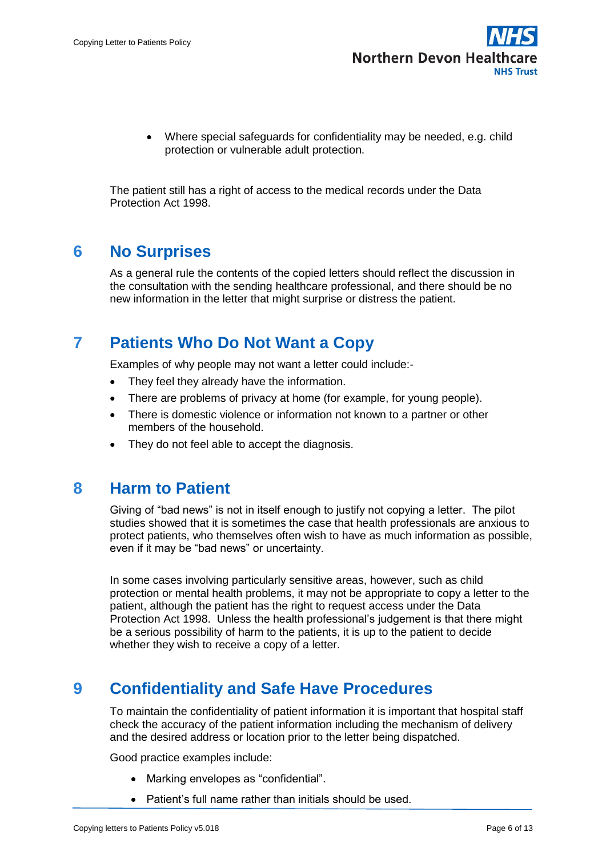

 Where special safeguards for confidentiality may be needed, e.g. child protection or vulnerable adult protection.

The patient still has a right of access to the medical records under the Data Protection Act 1998.

# <span id="page-5-0"></span>**6 No Surprises**

As a general rule the contents of the copied letters should reflect the discussion in the consultation with the sending healthcare professional, and there should be no new information in the letter that might surprise or distress the patient.

# <span id="page-5-1"></span>**7 Patients Who Do Not Want a Copy**

Examples of why people may not want a letter could include:-

- They feel they already have the information.
- There are problems of privacy at home (for example, for young people).
- There is domestic violence or information not known to a partner or other members of the household.
- They do not feel able to accept the diagnosis.

#### <span id="page-5-2"></span>**8 Harm to Patient**

Giving of "bad news" is not in itself enough to justify not copying a letter. The pilot studies showed that it is sometimes the case that health professionals are anxious to protect patients, who themselves often wish to have as much information as possible, even if it may be "bad news" or uncertainty.

In some cases involving particularly sensitive areas, however, such as child protection or mental health problems, it may not be appropriate to copy a letter to the patient, although the patient has the right to request access under the Data Protection Act 1998. Unless the health professional's judgement is that there might be a serious possibility of harm to the patients, it is up to the patient to decide whether they wish to receive a copy of a letter.

# <span id="page-5-3"></span>**9 Confidentiality and Safe Have Procedures**

To maintain the confidentiality of patient information it is important that hospital staff check the accuracy of the patient information including the mechanism of delivery and the desired address or location prior to the letter being dispatched.

Good practice examples include:

- Marking envelopes as "confidential".
- Patient's full name rather than initials should be used.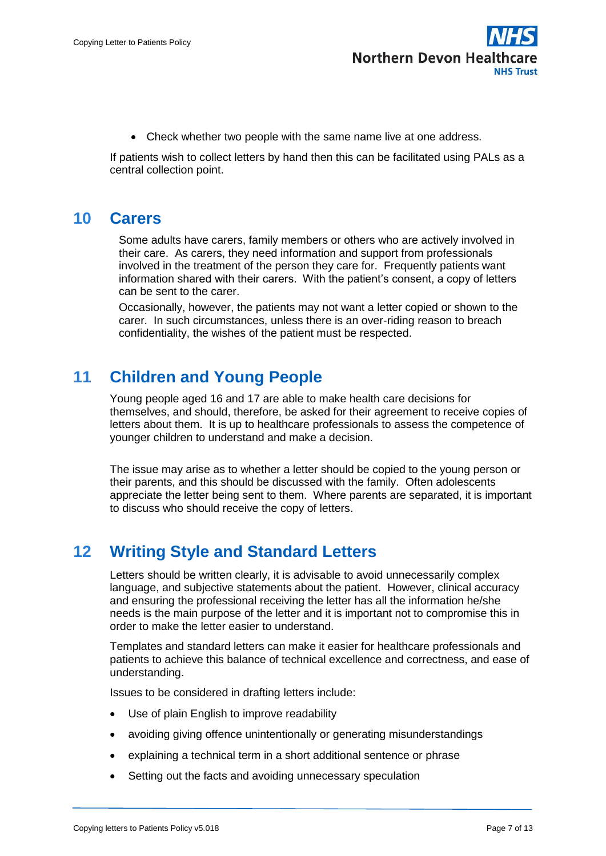

Check whether two people with the same name live at one address.

If patients wish to collect letters by hand then this can be facilitated using PALs as a central collection point.

### <span id="page-6-0"></span>**10 Carers**

Some adults have carers, family members or others who are actively involved in their care. As carers, they need information and support from professionals involved in the treatment of the person they care for. Frequently patients want information shared with their carers. With the patient's consent, a copy of letters can be sent to the carer.

Occasionally, however, the patients may not want a letter copied or shown to the carer. In such circumstances, unless there is an over-riding reason to breach confidentiality, the wishes of the patient must be respected.

# <span id="page-6-1"></span>**11 Children and Young People**

Young people aged 16 and 17 are able to make health care decisions for themselves, and should, therefore, be asked for their agreement to receive copies of letters about them. It is up to healthcare professionals to assess the competence of younger children to understand and make a decision.

The issue may arise as to whether a letter should be copied to the young person or their parents, and this should be discussed with the family. Often adolescents appreciate the letter being sent to them. Where parents are separated, it is important to discuss who should receive the copy of letters.

# <span id="page-6-2"></span>**12 Writing Style and Standard Letters**

Letters should be written clearly, it is advisable to avoid unnecessarily complex language, and subjective statements about the patient. However, clinical accuracy and ensuring the professional receiving the letter has all the information he/she needs is the main purpose of the letter and it is important not to compromise this in order to make the letter easier to understand.

Templates and standard letters can make it easier for healthcare professionals and patients to achieve this balance of technical excellence and correctness, and ease of understanding.

Issues to be considered in drafting letters include:

- Use of plain English to improve readability
- avoiding giving offence unintentionally or generating misunderstandings
- explaining a technical term in a short additional sentence or phrase
- Setting out the facts and avoiding unnecessary speculation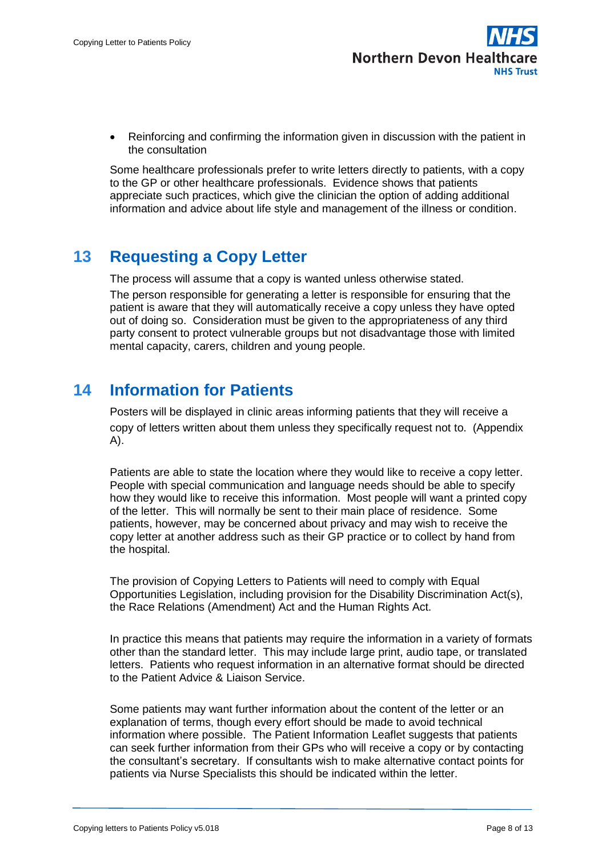

 Reinforcing and confirming the information given in discussion with the patient in the consultation

Some healthcare professionals prefer to write letters directly to patients, with a copy to the GP or other healthcare professionals. Evidence shows that patients appreciate such practices, which give the clinician the option of adding additional information and advice about life style and management of the illness or condition.

# <span id="page-7-0"></span>**13 Requesting a Copy Letter**

The process will assume that a copy is wanted unless otherwise stated.

The person responsible for generating a letter is responsible for ensuring that the patient is aware that they will automatically receive a copy unless they have opted out of doing so. Consideration must be given to the appropriateness of any third party consent to protect vulnerable groups but not disadvantage those with limited mental capacity, carers, children and young people.

# <span id="page-7-1"></span>**14 Information for Patients**

Posters will be displayed in clinic areas informing patients that they will receive a copy of letters written about them unless they specifically request not to. (Appendix A).

Patients are able to state the location where they would like to receive a copy letter. People with special communication and language needs should be able to specify how they would like to receive this information. Most people will want a printed copy of the letter. This will normally be sent to their main place of residence. Some patients, however, may be concerned about privacy and may wish to receive the copy letter at another address such as their GP practice or to collect by hand from the hospital.

The provision of Copying Letters to Patients will need to comply with Equal Opportunities Legislation, including provision for the Disability Discrimination Act(s), the Race Relations (Amendment) Act and the Human Rights Act.

In practice this means that patients may require the information in a variety of formats other than the standard letter. This may include large print, audio tape, or translated letters. Patients who request information in an alternative format should be directed to the Patient Advice & Liaison Service.

Some patients may want further information about the content of the letter or an explanation of terms, though every effort should be made to avoid technical information where possible. The Patient Information Leaflet suggests that patients can seek further information from their GPs who will receive a copy or by contacting the consultant's secretary. If consultants wish to make alternative contact points for patients via Nurse Specialists this should be indicated within the letter.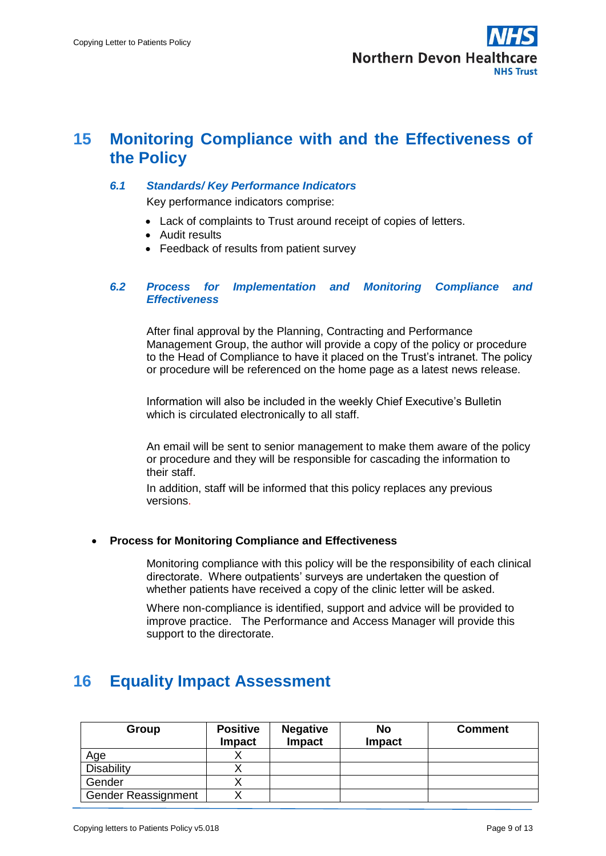

### <span id="page-8-0"></span>**15 Monitoring Compliance with and the Effectiveness of the Policy**

#### *6.1 Standards/ Key Performance Indicators*

Key performance indicators comprise:

- Lack of complaints to Trust around receipt of copies of letters.
- Audit results
- Feedback of results from patient survey

#### *6.2 Process for Implementation and Monitoring Compliance and Effectiveness*

After final approval by the Planning, Contracting and Performance Management Group, the author will provide a copy of the policy or procedure to the Head of Compliance to have it placed on the Trust's intranet. The policy or procedure will be referenced on the home page as a latest news release.

Information will also be included in the weekly Chief Executive's Bulletin which is circulated electronically to all staff.

An email will be sent to senior management to make them aware of the policy or procedure and they will be responsible for cascading the information to their staff.

In addition, staff will be informed that this policy replaces any previous versions.

#### **Process for Monitoring Compliance and Effectiveness**

Monitoring compliance with this policy will be the responsibility of each clinical directorate. Where outpatients' surveys are undertaken the question of whether patients have received a copy of the clinic letter will be asked.

Where non-compliance is identified, support and advice will be provided to improve practice. The Performance and Access Manager will provide this support to the directorate.

# <span id="page-8-1"></span>**16 Equality Impact Assessment**

| Group                      | <b>Positive</b><br><b>Impact</b> | <b>Negative</b><br>Impact | <b>No</b><br><b>Impact</b> | <b>Comment</b> |
|----------------------------|----------------------------------|---------------------------|----------------------------|----------------|
| Age                        |                                  |                           |                            |                |
| <b>Disability</b>          |                                  |                           |                            |                |
| Gender                     |                                  |                           |                            |                |
| <b>Gender Reassignment</b> |                                  |                           |                            |                |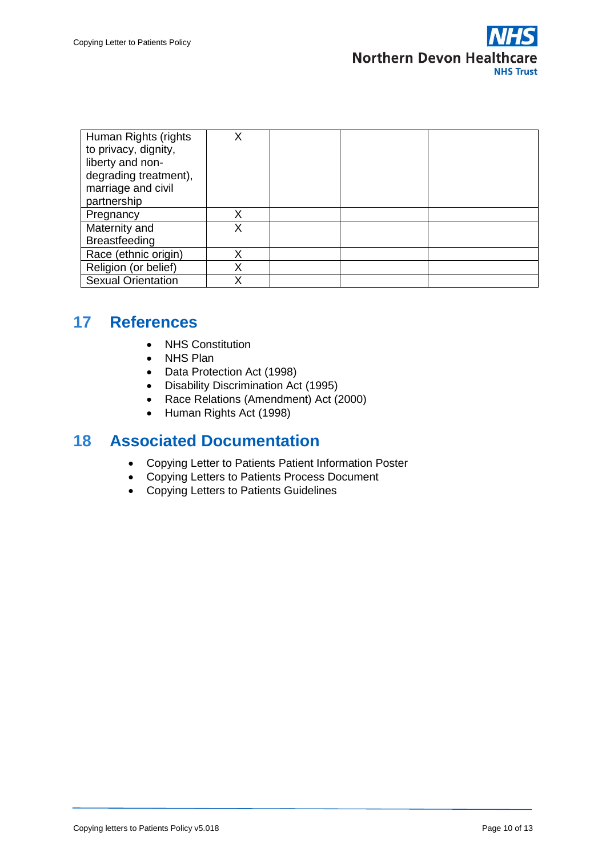

| Human Rights (rights      | Χ |  |  |
|---------------------------|---|--|--|
| to privacy, dignity,      |   |  |  |
| liberty and non-          |   |  |  |
| degrading treatment),     |   |  |  |
| marriage and civil        |   |  |  |
| partnership               |   |  |  |
| Pregnancy                 | Χ |  |  |
| Maternity and             |   |  |  |
| <b>Breastfeeding</b>      |   |  |  |
| Race (ethnic origin)      | Χ |  |  |
| Religion (or belief)      | Χ |  |  |
| <b>Sexual Orientation</b> | Χ |  |  |

### <span id="page-9-0"></span>**17 References**

- NHS Constitution
- NHS Plan
- Data Protection Act (1998)
- Disability Discrimination Act (1995)
- Race Relations (Amendment) Act (2000)
- Human Rights Act (1998)

### <span id="page-9-1"></span>**18 Associated Documentation**

- Copying Letter to Patients Patient Information Poster
- Copying Letters to Patients Process Document
- Copying Letters to Patients Guidelines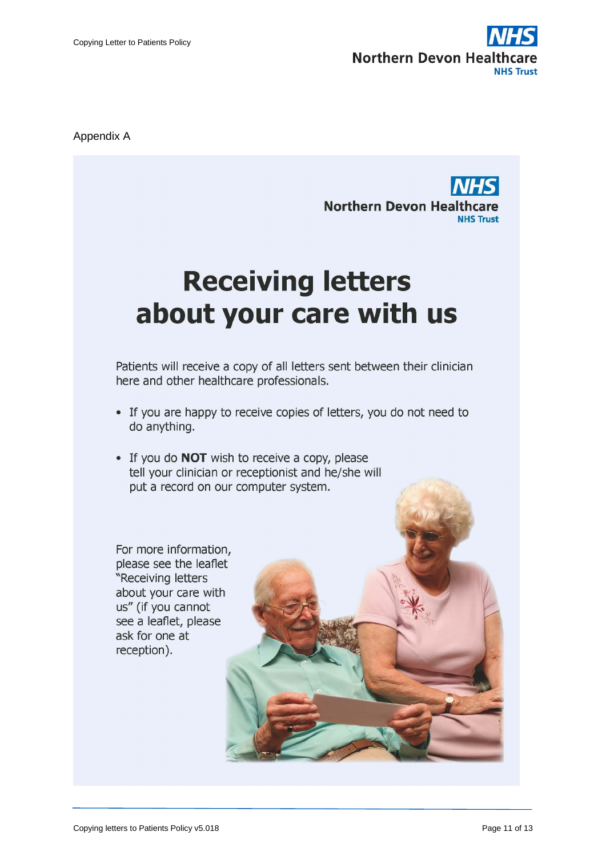

Appendix A

**Northern Devon Healthcare NHS Trust** 

# **Receiving letters** about your care with us

Patients will receive a copy of all letters sent between their clinician here and other healthcare professionals.

- If you are happy to receive copies of letters, you do not need to do anything.
- If you do **NOT** wish to receive a copy, please tell your clinician or receptionist and he/she will put a record on our computer system.

For more information, please see the leaflet "Receiving letters about your care with us" (if you cannot see a leaflet, please ask for one at reception).

Copying letters to Patients Policy v5.018 Page 11 of 13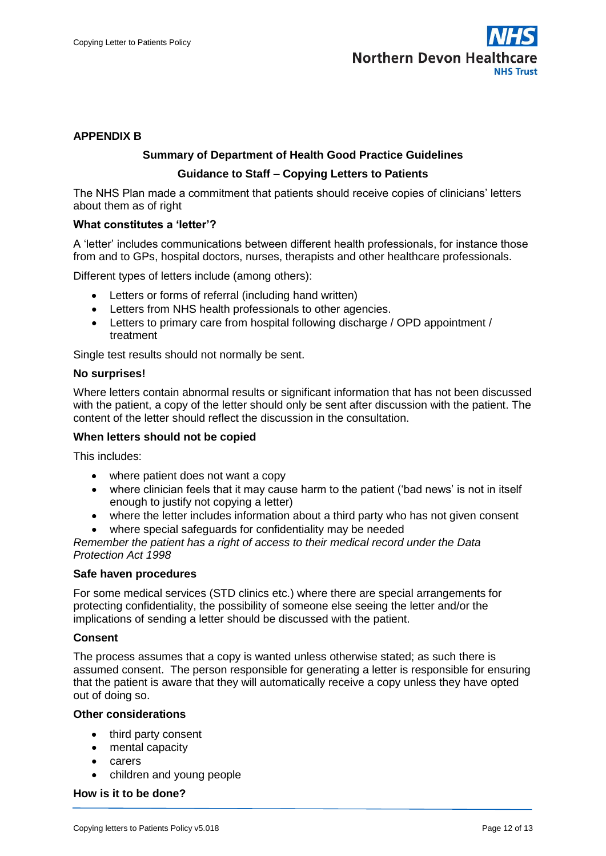

#### **APPENDIX B**

#### **Summary of Department of Health Good Practice Guidelines**

#### **Guidance to Staff – Copying Letters to Patients**

The NHS Plan made a commitment that patients should receive copies of clinicians' letters about them as of right

#### **What constitutes a 'letter'?**

A 'letter' includes communications between different health professionals, for instance those from and to GPs, hospital doctors, nurses, therapists and other healthcare professionals.

Different types of letters include (among others):

- Letters or forms of referral (including hand written)
- Letters from NHS health professionals to other agencies.
- Letters to primary care from hospital following discharge / OPD appointment / treatment

Single test results should not normally be sent.

#### **No surprises!**

Where letters contain abnormal results or significant information that has not been discussed with the patient, a copy of the letter should only be sent after discussion with the patient. The content of the letter should reflect the discussion in the consultation.

#### **When letters should not be copied**

This includes:

- where patient does not want a copy
- where clinician feels that it may cause harm to the patient ('bad news' is not in itself enough to justify not copying a letter)
- where the letter includes information about a third party who has not given consent
- where special safeguards for confidentiality may be needed

*Remember the patient has a right of access to their medical record under the Data Protection Act 1998*

#### **Safe haven procedures**

For some medical services (STD clinics etc.) where there are special arrangements for protecting confidentiality, the possibility of someone else seeing the letter and/or the implications of sending a letter should be discussed with the patient.

#### **Consent**

The process assumes that a copy is wanted unless otherwise stated; as such there is assumed consent. The person responsible for generating a letter is responsible for ensuring that the patient is aware that they will automatically receive a copy unless they have opted out of doing so.

#### **Other considerations**

- third party consent
- mental capacity
- carers
- children and young people

**How is it to be done?**